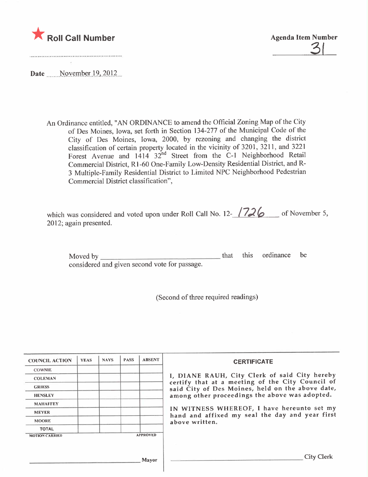



Date November 19, 2012

An Ordinance entitled, "AN ORDINANCE to amend the Official Zoning Map of the City of Des Moines, Iowa, set forth in Section 134-277 of the Municipal Code of the City of Des Moines, Iowa, 2000, by rezoning and changing the district classification of certain property located in the vicinity of 3201, 3211, and 3221 Forest Avenue and 1414 32<sup>nd</sup> Street from the C-1 Neighborhood Retail Commercial District, Rl-60 One-Family Low-Density Residential District, and R-3 Multiple-Family Residential District to Limited NPC Neighborhood Pedestrian Commercial District classification",

| which was considered and voted upon under Roll Call No. 12- $\sqrt{726}$ of November 5, |  |
|-----------------------------------------------------------------------------------------|--|
| 2012; again presented.                                                                  |  |

Moved by considered and given second vote for passage. that this ordinance be

(Second of three required readings)

| <b>COUNCIL ACTION</b> | <b>YEAS</b> | <b>NAYS</b> | <b>PASS</b> | <b>ABSENT</b>   | <b>CERTIFICATE</b>                                                                                |  |
|-----------------------|-------------|-------------|-------------|-----------------|---------------------------------------------------------------------------------------------------|--|
| <b>COWNIE</b>         |             |             |             |                 |                                                                                                   |  |
| <b>COLEMAN</b>        |             |             |             |                 | I, DIANE RAUH, City Clerk of said City hereby<br>certify that at a meeting of the City Council of |  |
| <b>GRIESS</b>         |             |             |             |                 | said City of Des Moines, held on the above date,                                                  |  |
| <b>HENSLEY</b>        |             |             |             |                 | among other proceedings the above was adopted.                                                    |  |
| <b>MAHAFFEY</b>       |             |             |             |                 |                                                                                                   |  |
| <b>MEYER</b>          |             |             |             |                 | IN WITNESS WHEREOF, I have hereunto set my<br>hand and affixed my seal the day and year first     |  |
| <b>MOORE</b>          |             |             |             |                 | above written.                                                                                    |  |
| <b>TOTAL</b>          |             |             |             |                 |                                                                                                   |  |
| <b>MOTION CARRIED</b> |             |             |             | <b>APPROVED</b> |                                                                                                   |  |
|                       |             |             |             | <b>Mayor</b>    | <b>City Clerk</b>                                                                                 |  |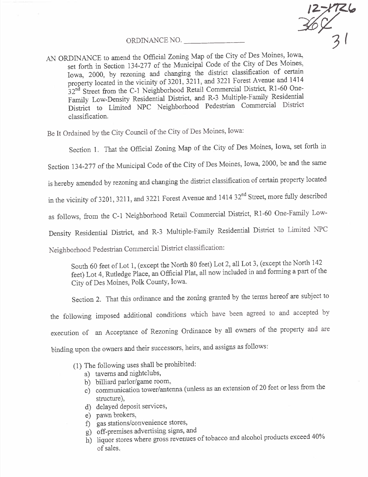ORDINANCE NO.

 $\frac{12 - 1726}{31}$ 

AN ORDINANCE to amend the Official Zoning Map of the City of Des Moines, Iowa, set forth in Section 134-277 of the Municipal Code of the City of Des Moines,  $\frac{1}{2}$  set forth in Section 134-277 of the Municipal Code of the City of persons Iowa, 2000, by rezoning and changing the district classification of certain property located in the vicinity of  $5201$ ,  $5211$ , and  $3211$ ,  $1411$ ,  $1414$ ,  $1416$ ,  $1416$ ,  $1416$  $32<sup>th</sup>$  Street from the C-1 Neighborhood Retail Commercial District, R1-60 One-Family Low-Density Residential District, and R-3 Multiple-Family Residential District to Limited NPC Neighborhood Pedestrian Commercial District classification.

Be It Ordained by the City Council of the City of Des Moines, Iowa:

Section 1. That the Official Zoning Map of the City of Des Moines, Iowa, set forth in

Section 134-277 of the Municipal Code of the City of Des Moines, Iowa, 2000, be and the same

is hereby amended by rezoning and changing the district classification of certain property located

in the vicinity of 3201, 3211, and 3221 Forest Avenue and 1414 32<sup>nd</sup> Street, more fully described

as follows, from the C-1 Neighborhood Retail Commercial District, R1-60 One-Family Low-

Density Residential District, and R-3 Multiple-Family Residential District to Limited NPC

Neighborhood Pedestran Conimercial District classification:

South 60 feet of Lot 1, (except the North 80 feet) Lot 2, all Lot 3, (except the North 142 feet) Lot 4, Rutledge Place, an Official Plat, all now included in and forming a part of the City of Des Moines, Polk County, Iowa.

Section 2. That this ordinance and the zoning granted by the terms hereof are subject to the following imposed additional conditions which have been agreed to and accepted by execution of an Acceptance of Rezoning Ordinance by all owners of the property and are binding upon the owners and their successors, heirs, and assigns as follows:

- (1) The followig uses shall be prohibited:
	-
	- a) taverns and nightclubs,<br>b) billiard parlor/game room, b) billiard parlor/game room,
	- c) communication tower/antenna (unless as an extension of 20 feet of less from the structure),
	- d) delayed deposit services,
	-
	- e) pawn brokers,<br>f) gas stations/convenience stores,
	- g) off-premises advertising signs, and  $\frac{1}{2}$  on-premises advertising signs, and
	- h) liquor stores where gross revenues of tobacco and alcohol products exceed 40% of sales.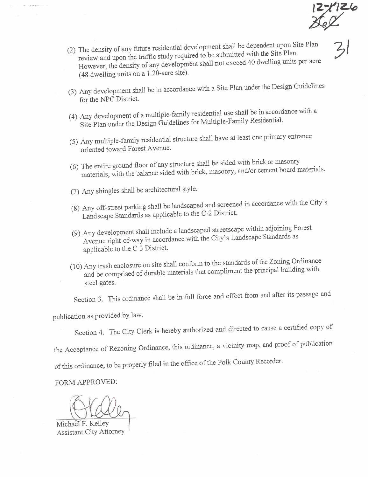$z^2$ 

- (2) The density of any future residential development shall be dependent upon Site Plan review and upon the traffic study required to be submitted with the Site Plan. review and upon the traffic study required  $\sim 1$  be submitted to dividend units net acre However, the density of any development shall not exceed  $\alpha$  division  $\beta$ (48 dwelling unts on a 1.20-acre site).
- (3) Any development shall be in accordance with a Site Plan under the Design Guidelines for the NPC District.
- (4) Any development of a multiple-family research  $\frac{1}{2}$  and  $\frac{1}{2}$  and  $\frac{1}{2}$  in accordance  $\frac{1}{2}$  and  $\frac{1}{2}$  in accordance  $\frac{1}{2}$  and  $\frac{1}{2}$  in accordance  $\frac{1}{2}$  and  $\frac{1}{2}$  in  $\frac{1}{2}$  and  $\$ Site Plan under the Design Guidelines for  $M_{\text{max}}$
- (5) Any multiple-family residential structure shall have at least one primary entrance oriented toward Forest Avenue.
- (6) The entire ground floor of any structure shall be seen in  $\frac{1}{\sqrt{2}}$  or cement board i  $\mu$ aterials, with the balance sided with brick, masonry, and or cement board materials.
- (7) Any sligles shall be architectual style.
- (8) Any off-street parking shall be landscaped and screened in accordance with the City's Landscape Standards as applicable to the C-2 District.
- (9) Any development shall include a landscaped standard streets and scape Standards as Avenue right-of-way in accordance with the City's Landscape Standards as applicable to the C-3 District.
- $(10)$  Any trash enclosure on site shall conform to the  $\alpha$  multiment the principal building with and be comprised of durable materials  $\mathcal{L}_{\text{max}}$  of  $\mathcal{L}_{\text{max}}$ steel gates.

Section 3. This ordinance shall be in full force and effect froni and after its passage and

publication as provided by law.

Section 4. The City Clerk is hereby authorized and directed to cause a certified copy of

the Acceptance of Rezoning Ordinance, this ordinance, a vicinity map, and proof of publication

of this ordinance, to be properly filed in the office of the Polk County Recorder.

FORM APPROVED:

Michael F. Kelley Assistant City Attorney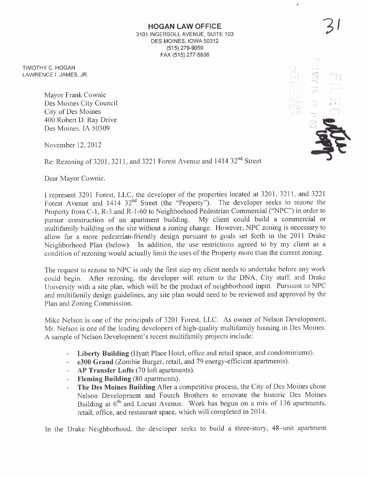HOGAN LAW OFFICE 3101 INGERSOLL AVENUE, SUITE 103 DES MOINES, IOWA 50312 (515) 279-9059 FAX (515) 277-5836

3/

 $\mathbb{CP}$  ;

 $\bullet$ 

 $\mathbb{R}$  ,  $\mathbb{R}$  . Let ...I"...~ \. -~ '\

 $\sum_{i=0}^{\infty}$ 

**Add** 

TIMOTHY C. HOGAN LAWRENCE i. JAMES, JR.

> Mayor Frank Cownie Des Moines City Council City of Des Moines 400 Robert D. Ray Drive Des Moines, IA 50309

November 12, 2012

Re: Rezoning of 3201, 3211, and 3221 Forest Avenue and 1414 32<sup>nd</sup> Street

Dear Mayor Cownie,

I represent 3201 Forest, LLC, the developer of the properties located at 3201,3211, and 3221 Forest Avenue and 1414 32<sup>nd</sup> Street (the "Property"). The developer seeks to rezone the Property from C-1, R-3 and R-1-60 to Neighborhood Pedestrian Commercial ("NPC") in order to nursue construction of an apartment building. My client could build a commercial or pursue construction of an apartment building. multifamily building on the site without a zoning change. However, NPC zoning is necessary to allow for a more pedestrian-friendly design pursuant to goals set forth in the 2011 Drake Neighborhood Plan (below). In addition, the use restrictions agreed to by iny client as a condition of rezoning would actually limit the uses of the Property more than the current zoning.

The request to rezone to NPC is only the first step my client needs to undertake before any work could begin. After rezoning, the developer will return to the DNA, City staff, and Drake University with a site plan, which will be the product of neighborhood input. Pursuant to NPC and multifamily design guidelines, any site plan would need to be reviewed and approved by the Plan and Zoning Commission.

Mike Nelson is one of the principals of 3201 Forest, LLC. As owner of Nelson Development, Mr. Nelson is one of the leading developers of high-quality multifamily housing in Des Moines. A sample of Nelson Development's recent multifamily projects include:

- Liberty Building (Hyatt Place Hotel, office and retail space, and condominiums).  $\mathcal{L}^{\text{max}}$
- e300 Grand (Zombie Burger, retail, and 79 energy-efficient apartments).
- AP Transfer Lofts (70 loft apartments).  $\sim$
- Fleming Building (80 apartments).  $\omega_{\rm{eff}}$
- The Des Moines Building After a competitive process, the City of Des Moines chose Nelson Development and Foutch Brothers to renovate the historic Des Moines Building at  $6<sup>th</sup>$  and Locust Avenue. Work has begun on a mix of 136 apartments, retail, office, and restaurant space, which will completed in 2014.

In the Drake Neighborhood, the developer seeks to build a three-story, 48-unit apartment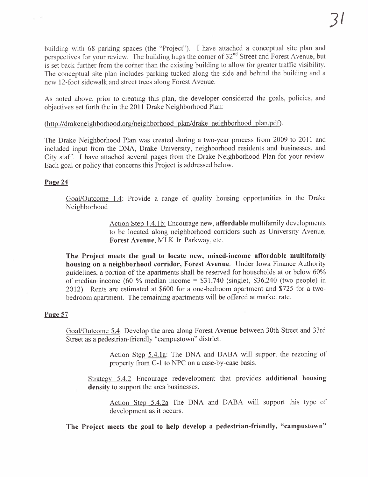building with 68 parking spaces (the "Project"). I have attached a conceptual site plan and perspectives for your review. The building hugs the corner of 32<sup>nd</sup> Street and Forest Avenue, but is set back further from the corner than the existing building to allow for greater traffic visibility. The conceptual site plan includes parking tucked along the side and behind the building and a new 12-foot sidewalk and street trees along Forest Avenue.

As noted above, prior to creating this plan, the developer considered the goals, policies, and objectives set forth the in the 2011 Drake Neighborhood Plan:

# (http://drakeneighborhood.org/neighborhood plan/drake neighborhood plan.pdf).

The Drake Neighborhood Plan was created during a two-year process from 2009 to 2011 and included input from the DNA, Drake University, neighborhood residents and businesses, and City staff. I have attached several pages from the Drake Neighborhood Plan for your review. Each goal or policy that concerns this Project is addressed below.

# Page 24

Goal/Outcome 1.4: Provide a range of quality housing opportunities in the Drake Neighborhood

> Action Step 1.4.1 b: Encourage new, affordable multifamily developments to be located along neighborhood corridors such as University A venue, Forest Avenue, MLK Jr. Parkway, etc.

The Project meets the goal to locate new, mixed-income affordable multifamily housing on a neighborhood corridor, Forest Avenue. Under Iowa Finance Authority guidelines, a portion of the apartments shall be reserved for households at or below 60% of median income (60 % median income =  $$31,740$  (single), \$36,240 (two people) in 2012). Rents are estimated at \$600 for a one-bedroom apartment and \$725 for a twobedroom apartment. The remaining apartments will be offered at market rate.

## Page 57

Goal/Outcome 5.4: Develop the area along Forest Avenue between 30th Street and 33rd Street as a pedestrian- friendly "campustown" district.

> Action Step 5.4.1a: The DNA and DABA will support the rezoning of property from C-1 to NPC on a case-by-case basis.

Strategy 5.4.2 Encourage redevelopment that provides additional housing density to support the area businesses.

Action Step 5.4.2a The DNA and DABA will support this type of development as it occurs.

The Project meets the goal to help develop a pedestrian-friendly, "campustown"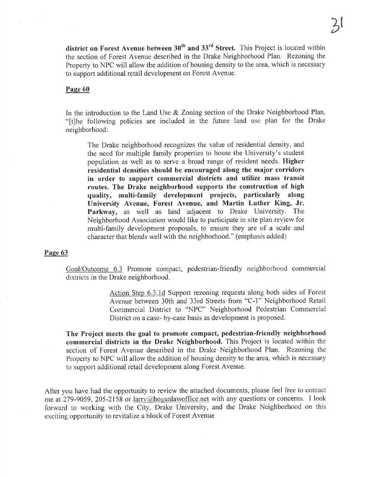district on Forest Avenue between  $30<sup>th</sup>$  and  $33<sup>rd</sup>$  Street. This Project is located within the section of Forest Avenue described in the Drake Neighborhood Plan. Rezoning the Property to NPC will allow the addition of housing density to the area, which is necessary to support additional retail development on Forest Avenue.

### Page 60

In the introduction to the Land Use & Zoning section of the Drake Neighborhood Plan, "(tJhe following policies are included in the future land use plan for the Drake neighborhood:

The Drake neighborhood recognizes the value of residential density, and the need for multiple family properties to house the University's student population as well as to serve a broad range of resident needs. Higher residential densities should be encouraged along the major corridors in order to support commercial districts and utilize mass transit routes. The Drake neighborhood supports the construction of high quality, multi-family development projects, particularly along University Avenue, Forest Avenue, and Martin Luther King, Jr. Parkway, as well as land adjacent to Drake University. The Neighborhood Association would like to participate in site plan review for multi-family development proposals, to ensure they are of a scale and character that blends well with the neighborhood." (emphasis added)

#### Page 63

Goal/Outcome 6.3 Promote compact, pedestrian-friendly neighborhood commercial districts in the Drake neighborhood.

> Action Step 6.3.1d Support rezoning requests along both sides of Forest Avenue between 30th and 33rd Streets from "C-L" Neighborhood Retail Commercial District to "NPC" Neighborhood Pedestrian Commercial District on a case- by-case basis as development is proposed.

The Project meets the goal to promote compact, pedestrian-friendly neighborhood commercial districts in the Drake Neighborhood. This Project is located within the section of Forest Avenue described in the Drake Neighborhood Plan. Rezoning the Property to NPC will allow the addition of housing density to the area, which is necessary to support additional retail development along Forest Avenue.

After you have had the opportunity to review the attached documents, please feel free to contact me at 279-9059, 205-2158 or larry@hoganlawoffice.net with any questions or concerns. I look forward to working with the City, Drake University, and the Drake Neighborhood on this exciting opportunity to revitalize a block of Forest Avenue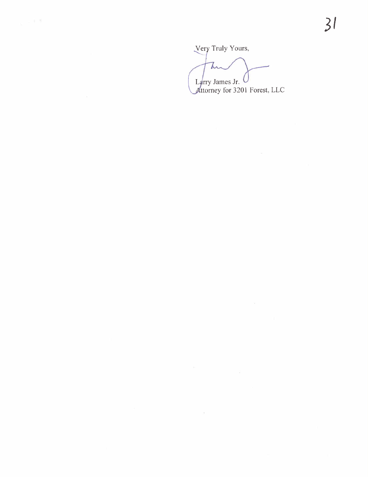Very Truly Yours,

 $\mathcal{L}^{\text{max}}_{\text{max}}$  . The  $\mathcal{L}^{\text{max}}_{\text{max}}$ 

T Larry James Jr. Attorney for 3201 Forest, LLC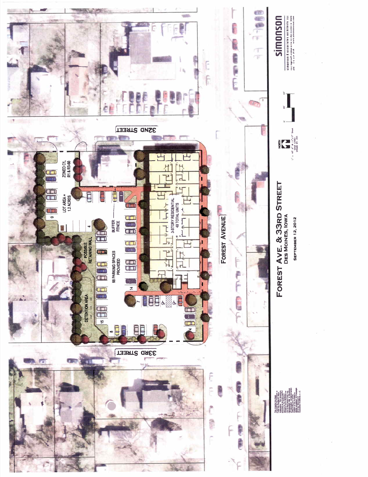